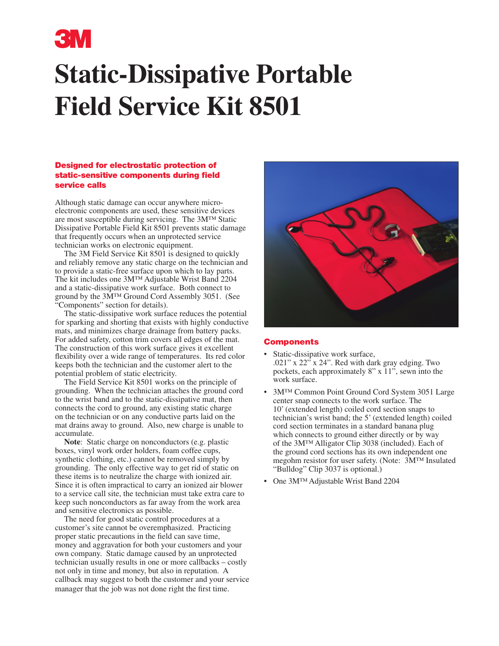

# **Static-Dissipative Portable Field Service Kit 8501**

#### Designed for electrostatic protection of static-sensitive components during field service calls

Although static damage can occur anywhere microelectronic components are used, these sensitive devices are most susceptible during servicing. The 3M™ Static Dissipative Portable Field Kit 8501 prevents static damage that frequently occurs when an unprotected service technician works on electronic equipment.

 The 3M Field Service Kit 8501 is designed to quickly and reliably remove any static charge on the technician and to provide a static-free surface upon which to lay parts. The kit includes one 3M™ Adjustable Wrist Band 2204 and a static-dissipative work surface. Both connect to ground by the 3M™ Ground Cord Assembly 3051. (See "Components" section for details).

 The static-dissipative work surface reduces the potential for sparking and shorting that exists with highly conductive mats, and minimizes charge drainage from battery packs. For added safety, cotton trim covers all edges of the mat. The construction of this work surface gives it excellent flexibility over a wide range of temperatures. Its red color keeps both the technician and the customer alert to the potential problem of static electricity.

 The Field Service Kit 8501 works on the principle of grounding. When the technician attaches the ground cord to the wrist band and to the static-dissipative mat, then connects the cord to ground, any existing static charge on the technician or on any conductive parts laid on the mat drains away to ground. Also, new charge is unable to accumulate.

**Note**: Static charge on nonconductors (e.g. plastic boxes, vinyl work order holders, foam coffee cups, synthetic clothing, etc.) cannot be removed simply by grounding. The only effective way to get rid of static on these items is to neutralize the charge with ionized air. Since it is often impractical to carry an ionized air blower to a service call site, the technician must take extra care to keep such nonconductors as far away from the work area and sensitive electronics as possible.

 The need for good static control procedures at a customer's site cannot be overemphasized. Practicing proper static precautions in the field can save time, money and aggravation for both your customers and your own company. Static damage caused by an unprotected technician usually results in one or more callbacks – costly not only in time and money, but also in reputation. A callback may suggest to both the customer and your service manager that the job was not done right the first time.



#### **Components**

- Static-dissipative work surface, .021" x  $22^{7}$  x  $24$ ". Red with dark gray edging. Two pockets, each approximately 8" x 11", sewn into the work surface.
- 3M™ Common Point Ground Cord System 3051 Large center snap connects to the work surface. The 10' (extended length) coiled cord section snaps to technician's wrist band; the 5' (extended length) coiled cord section terminates in a standard banana plug which connects to ground either directly or by way of the 3M™ Alligator Clip 3038 (included). Each of the ground cord sections has its own independent one megohm resistor for user safety. (Note: 3M™ Insulated "Bulldog" Clip 3037 is optional.)
- One 3M™ Adjustable Wrist Band 2204